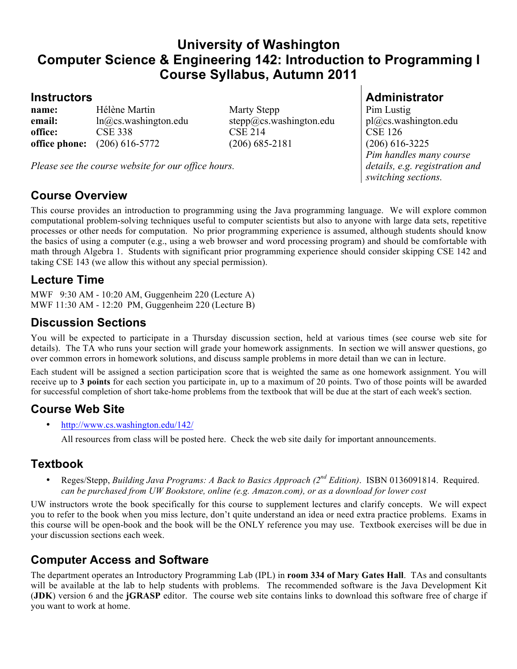# **University of Washington Computer Science & Engineering 142: Introduction to Programming I Course Syllabus, Autumn 2011**

**name:** Hélène Martin Marty Stepp Pim Lustig **email:** ln@cs.washington.edu stepp@cs.washington.edu pl@cs.washington.edu **office:** CSE 338 CSE 214 CSE 126 **office phone:** (206) 616-5772 (206) 685-2181 (206) 616-3225

*Please see the course website for our office hours.*

#### **Course Overview**

This course provides an introduction to programming using the Java programming language. We will explore common computational problem-solving techniques useful to computer scientists but also to anyone with large data sets, repetitive processes or other needs for computation. No prior programming experience is assumed, although students should know the basics of using a computer (e.g., using a web browser and word processing program) and should be comfortable with math through Algebra 1. Students with significant prior programming experience should consider skipping CSE 142 and taking CSE 143 (we allow this without any special permission).

#### **Lecture Time**

MWF 9:30 AM - 10:20 AM, Guggenheim 220 (Lecture A) MWF 11:30 AM - 12:20 PM, Guggenheim 220 (Lecture B)

#### **Discussion Sections**

You will be expected to participate in a Thursday discussion section, held at various times (see course web site for details). The TA who runs your section will grade your homework assignments. In section we will answer questions, go over common errors in homework solutions, and discuss sample problems in more detail than we can in lecture.

Each student will be assigned a section participation score that is weighted the same as one homework assignment. You will receive up to **3 points** for each section you participate in, up to a maximum of 20 points. Two of those points will be awarded for successful completion of short take-home problems from the textbook that will be due at the start of each week's section.

#### **Course Web Site**

• http://www.cs.washington.edu/142/

All resources from class will be posted here. Check the web site daily for important announcements.

## **Textbook**

• Reges/Stepp, *Building Java Programs: A Back to Basics Approach (2nd Edition)*. ISBN 0136091814. Required. *can be purchased from UW Bookstore, online (e.g. Amazon.com), or as a download for lower cost*

UW instructors wrote the book specifically for this course to supplement lectures and clarify concepts. We will expect you to refer to the book when you miss lecture, don't quite understand an idea or need extra practice problems. Exams in this course will be open-book and the book will be the ONLY reference you may use. Textbook exercises will be due in your discussion sections each week.

## **Computer Access and Software**

The department operates an Introductory Programming Lab (IPL) in **room 334 of Mary Gates Hall**. TAs and consultants will be available at the lab to help students with problems. The recommended software is the Java Development Kit (**JDK**) version 6 and the **jGRASP** editor. The course web site contains links to download this software free of charge if you want to work at home.

### **Instructors Administrator**

*Pim handles many course details, e.g. registration and switching sections.*